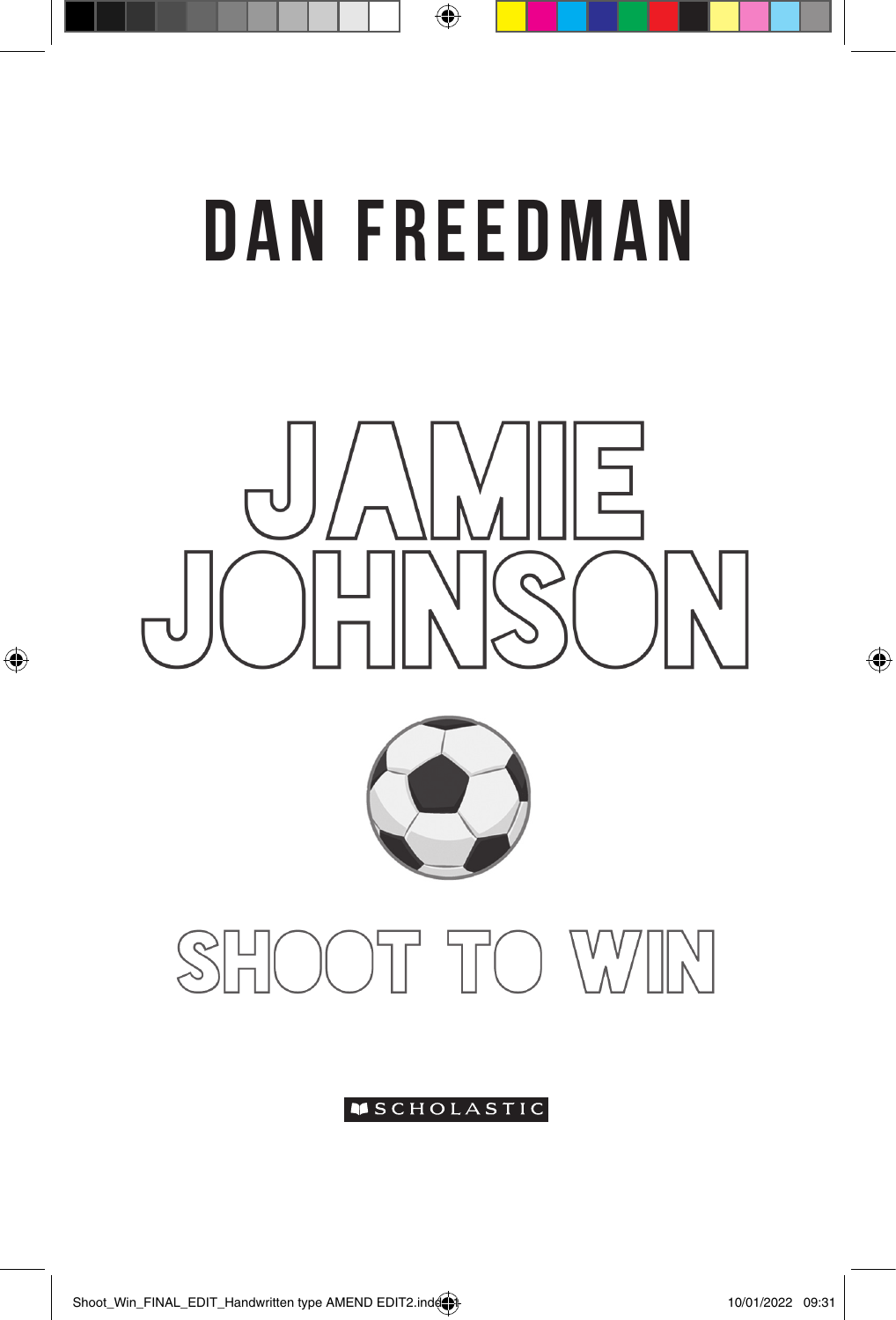# DAN FREEDMAN

⊕





### **OT TO WIN**  $\mathcal{S}\mathbb{H}$

#### **SCHOLASTIC**

 $\bigoplus$ 

 $\bigoplus$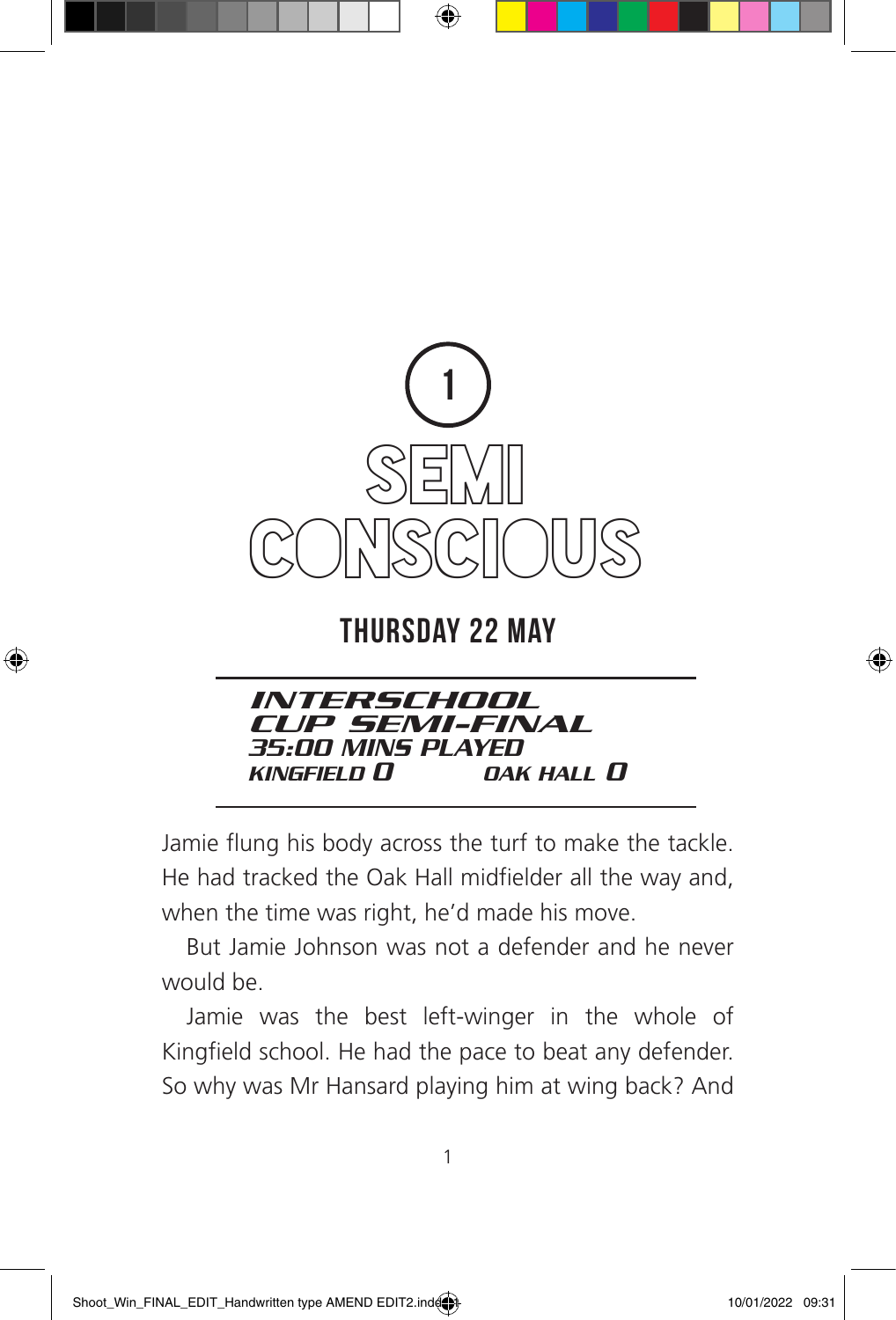

⊕

### Thursday 22 May



Jamie flung his body across the turf to make the tackle. He had tracked the Oak Hall midfielder all the way and, when the time was right, he'd made his move.

But Jamie Johnson was not a defender and he never would be.

Jamie was the best left-winger in the whole of Kingfield school. He had the pace to beat any defender. So why was Mr Hansard playing him at wing back? And

⊕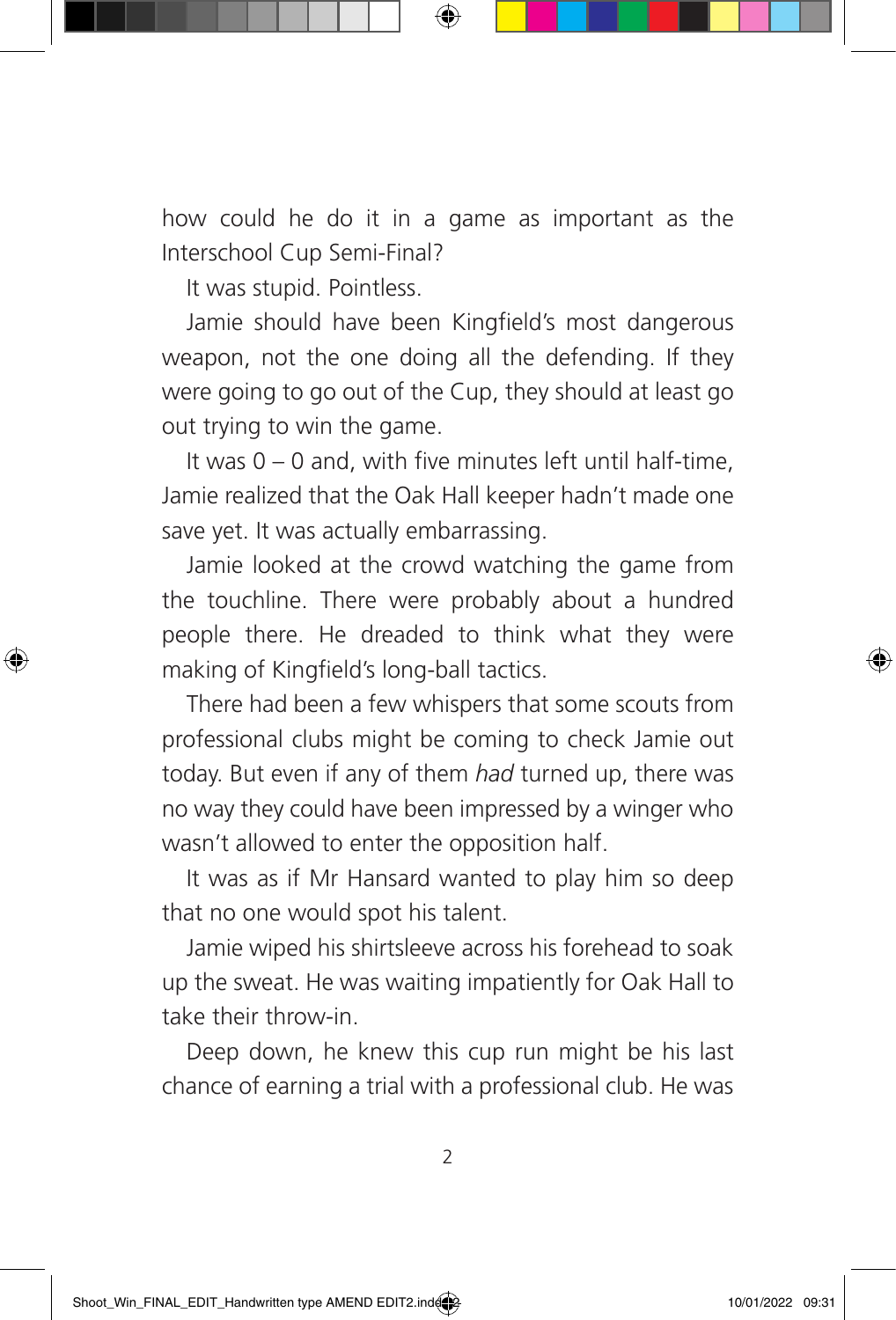how could he do it in a game as important as the Interschool Cup Semi-Final?

It was stupid. Pointless.

⊕

Jamie should have been Kingfield's most dangerous weapon, not the one doing all the defending. If they were going to go out of the Cup, they should at least go out trying to win the game.

It was 0 – 0 and, with five minutes left until half-time, Jamie realized that the Oak Hall keeper hadn't made one save yet. It was actually embarrassing.

Jamie looked at the crowd watching the game from the touchline. There were probably about a hundred people there. He dreaded to think what they were making of Kingfield's long-ball tactics.

There had been a few whispers that some scouts from professional clubs might be coming to check Jamie out today. But even if any of them *had* turned up, there was no way they could have been impressed by a winger who wasn't allowed to enter the opposition half.

It was as if Mr Hansard wanted to play him so deep that no one would spot his talent.

Jamie wiped his shirtsleeve across his forehead to soak up the sweat. He was waiting impatiently for Oak Hall to take their throw-in.

Deep down, he knew this cup run might be his last chance of earning a trial with a professional club. He was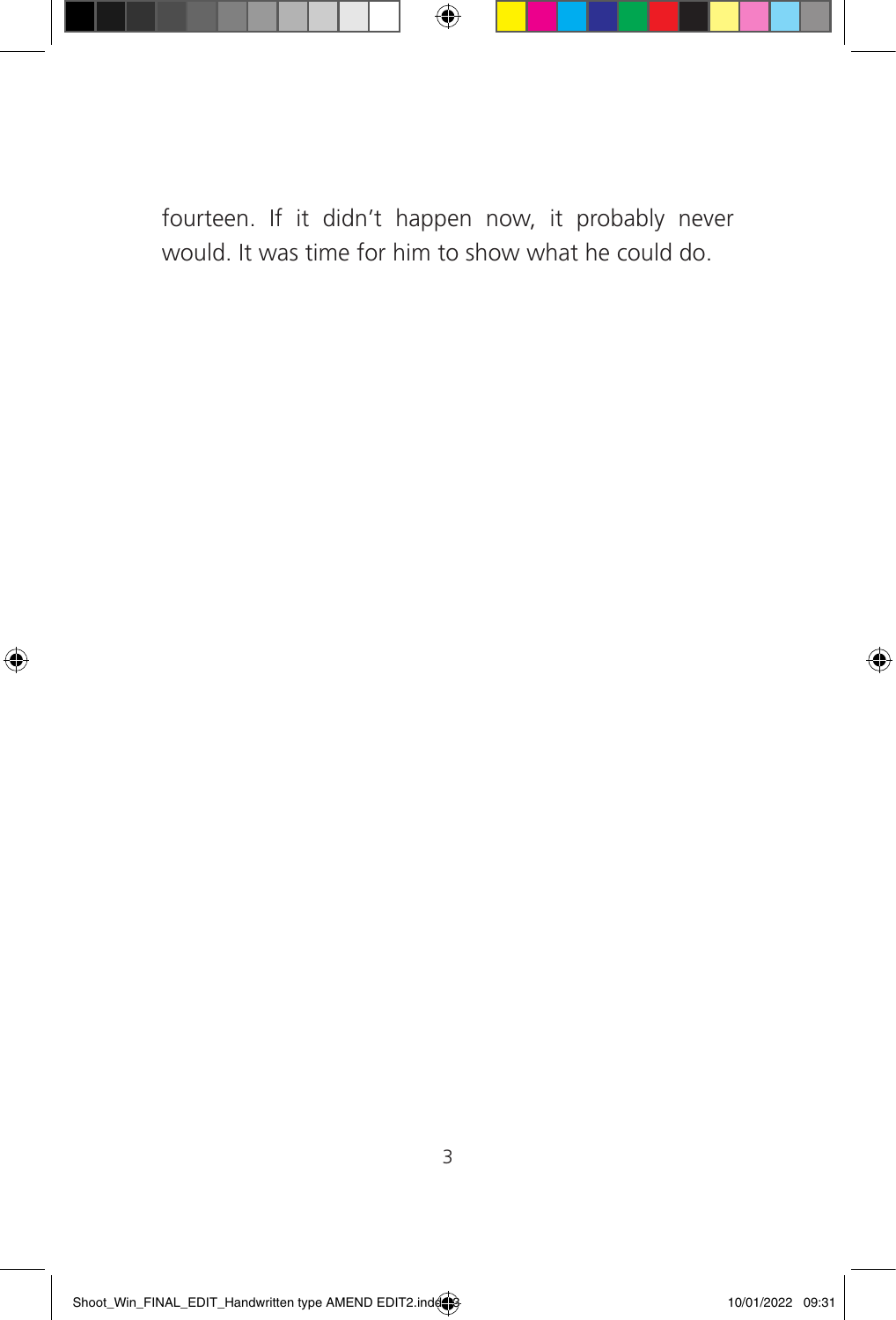

fourteen. If it didn't happen now, it probably never would. It was time for him to show what he could do.

 $\bigoplus$ 

◈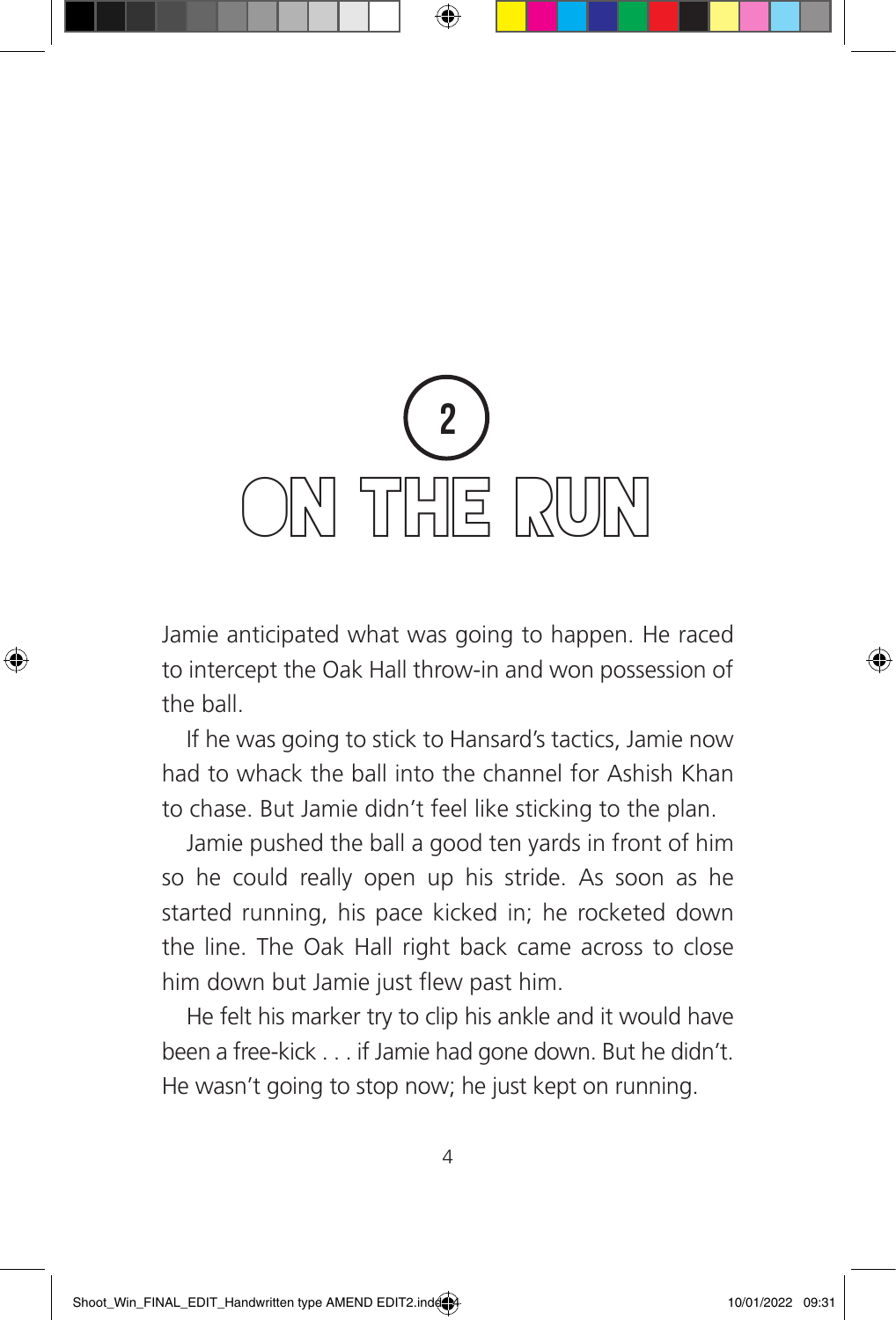## 2 ON THE RUN

Jamie anticipated what was going to happen. He raced to intercept the Oak Hall throw-in and won possession of the ball.

If he was going to stick to Hansard's tactics, Jamie now had to whack the ball into the channel for Ashish Khan to chase. But Jamie didn't feel like sticking to the plan.

Jamie pushed the ball a good ten yards in front of him so he could really open up his stride. As soon as he started running, his pace kicked in; he rocketed down the line. The Oak Hall right back came across to close him down but Jamie just flew past him.

He felt his marker try to clip his ankle and it would have been a free-kick . . . if Jamie had gone down. But he didn't. He wasn't going to stop now; he just kept on running.

⊕

◈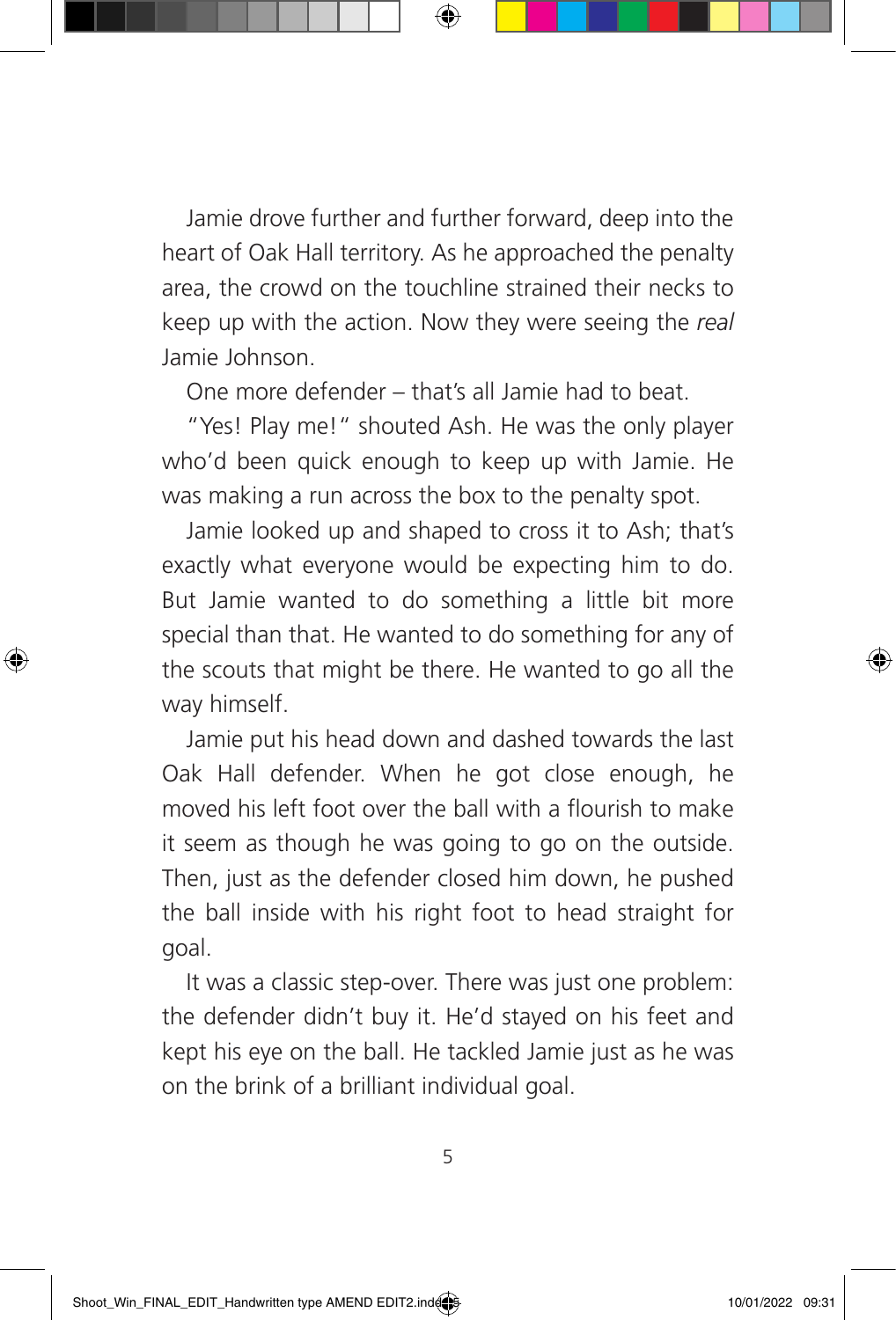Jamie drove further and further forward, deep into the heart of Oak Hall territory. As he approached the penalty area, the crowd on the touchline strained their necks to keep up with the action. Now they were seeing the *real* Jamie Johnson.

One more defender – that's all Jamie had to beat.

"Yes! Play me!" shouted Ash. He was the only player who'd been quick enough to keep up with Jamie. He was making a run across the box to the penalty spot.

Jamie looked up and shaped to cross it to Ash; that's exactly what everyone would be expecting him to do. But Jamie wanted to do something a little bit more special than that. He wanted to do something for any of the scouts that might be there. He wanted to go all the way himself.

Jamie put his head down and dashed towards the last Oak Hall defender. When he got close enough, he moved his left foot over the ball with a flourish to make it seem as though he was going to go on the outside. Then, just as the defender closed him down, he pushed the ball inside with his right foot to head straight for goal.

It was a classic step-over. There was just one problem: the defender didn't buy it. He'd stayed on his feet and kept his eye on the ball. He tackled Jamie just as he was on the brink of a brilliant individual goal.

5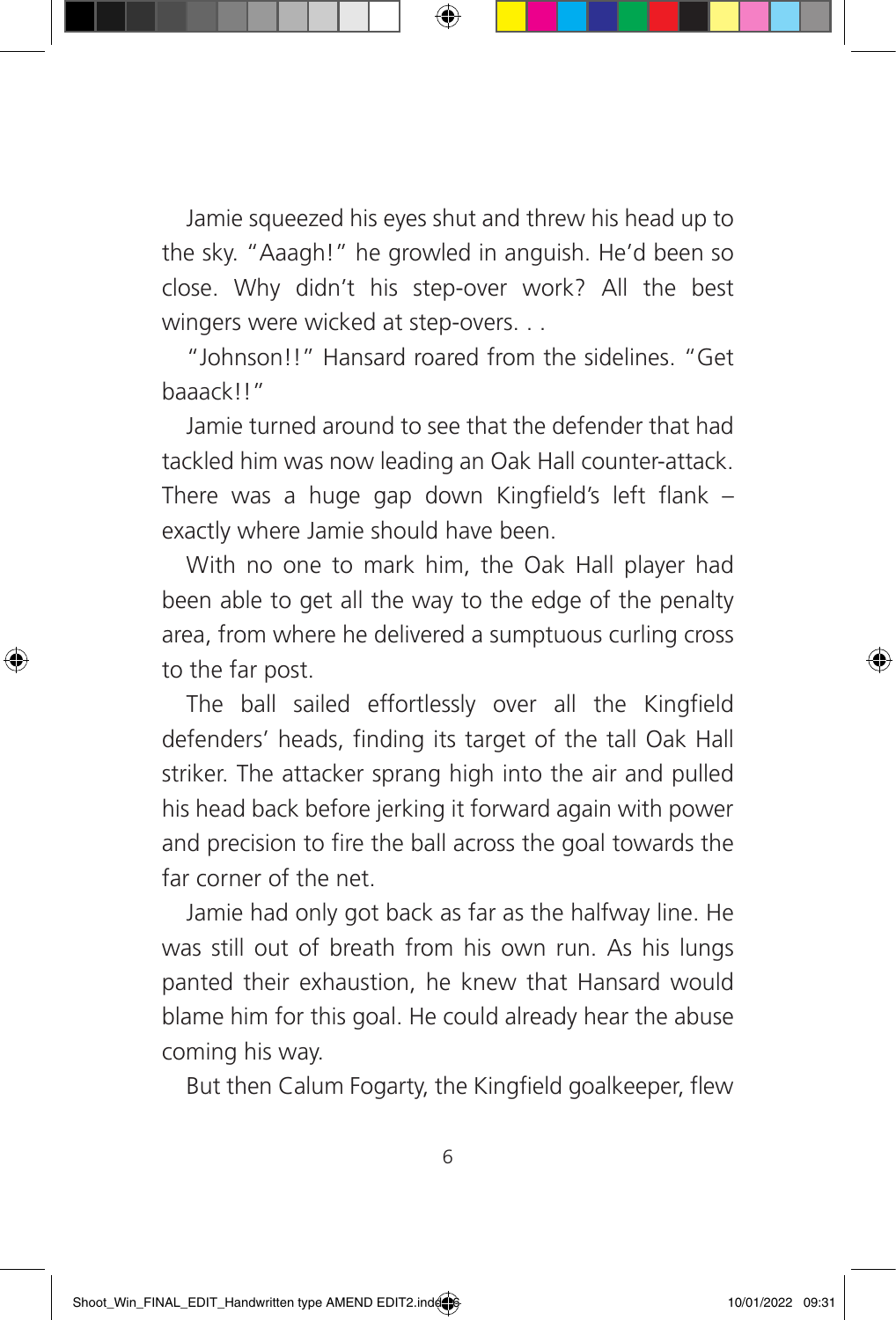Jamie squeezed his eyes shut and threw his head up to the sky. "Aaagh!" he growled in anguish. He'd been so close. Why didn't his step-over work? All the best wingers were wicked at step-overs. . .

"Johnson!!" Hansard roared from the sidelines. "Get baaack!!"

Jamie turned around to see that the defender that had tackled him was now leading an Oak Hall counter-attack. There was a huge gap down Kingfield's left flank – exactly where Jamie should have been.

With no one to mark him, the Oak Hall player had been able to get all the way to the edge of the penalty area, from where he delivered a sumptuous curling cross to the far post.

The ball sailed effortlessly over all the Kingfield defenders' heads, finding its target of the tall Oak Hall striker. The attacker sprang high into the air and pulled his head back before jerking it forward again with power and precision to fire the ball across the goal towards the far corner of the net.

Jamie had only got back as far as the halfway line. He was still out of breath from his own run. As his lungs panted their exhaustion, he knew that Hansard would blame him for this goal. He could already hear the abuse coming his way.

But then Calum Fogarty, the Kingfield goalkeeper, flew

6

⊕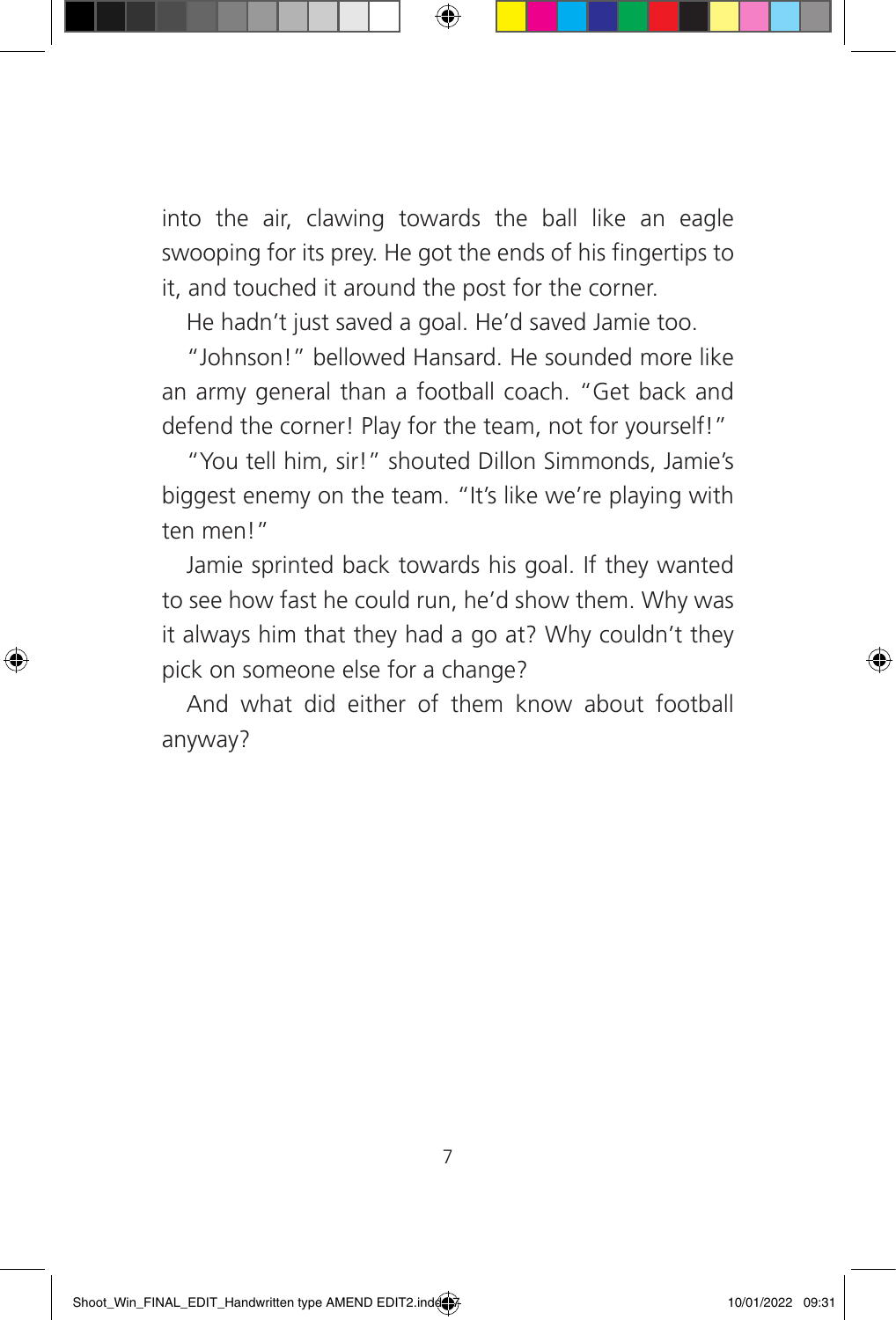into the air, clawing towards the ball like an eagle swooping for its prey. He got the ends of his fingertips to it, and touched it around the post for the corner.

He hadn't just saved a goal. He'd saved Jamie too.

"Johnson!" bellowed Hansard. He sounded more like an army general than a football coach. "Get back and defend the corner! Play for the team, not for yourself!"

"You tell him, sir!" shouted Dillon Simmonds, Jamie's biggest enemy on the team. "It's like we're playing with ten men!"

Jamie sprinted back towards his goal. If they wanted to see how fast he could run, he'd show them. Why was it always him that they had a go at? Why couldn't they pick on someone else for a change?

And what did either of them know about football anyway?

⊕

⊕

7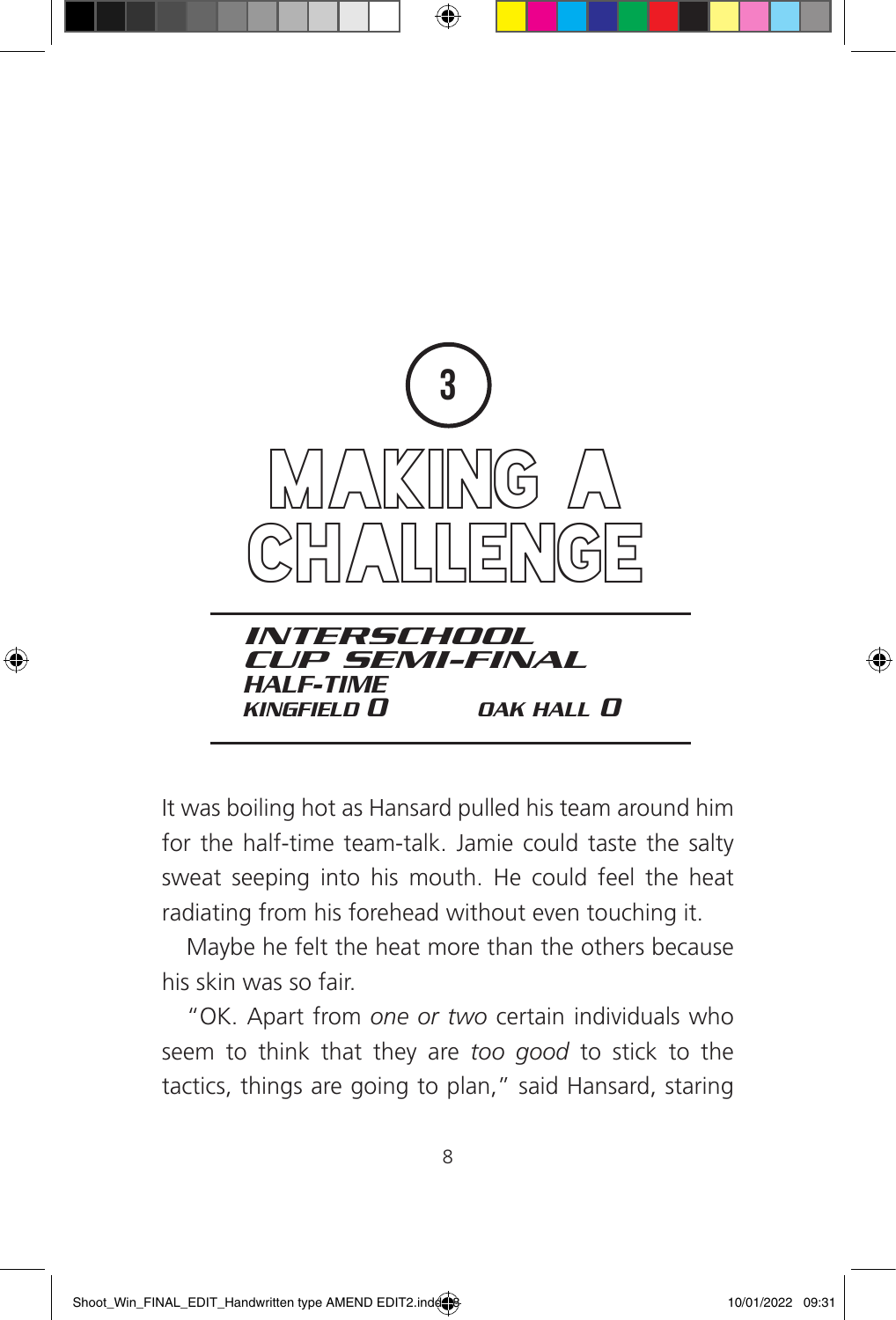

⊕

It was boiling hot as Hansard pulled his team around him for the half-time team-talk. Jamie could taste the salty sweat seeping into his mouth. He could feel the heat radiating from his forehead without even touching it.

Maybe he felt the heat more than the others because his skin was so fair.

"OK. Apart from *one or two* certain individuals who seem to think that they are *too good* to stick to the tactics, things are going to plan," said Hansard, staring

⊕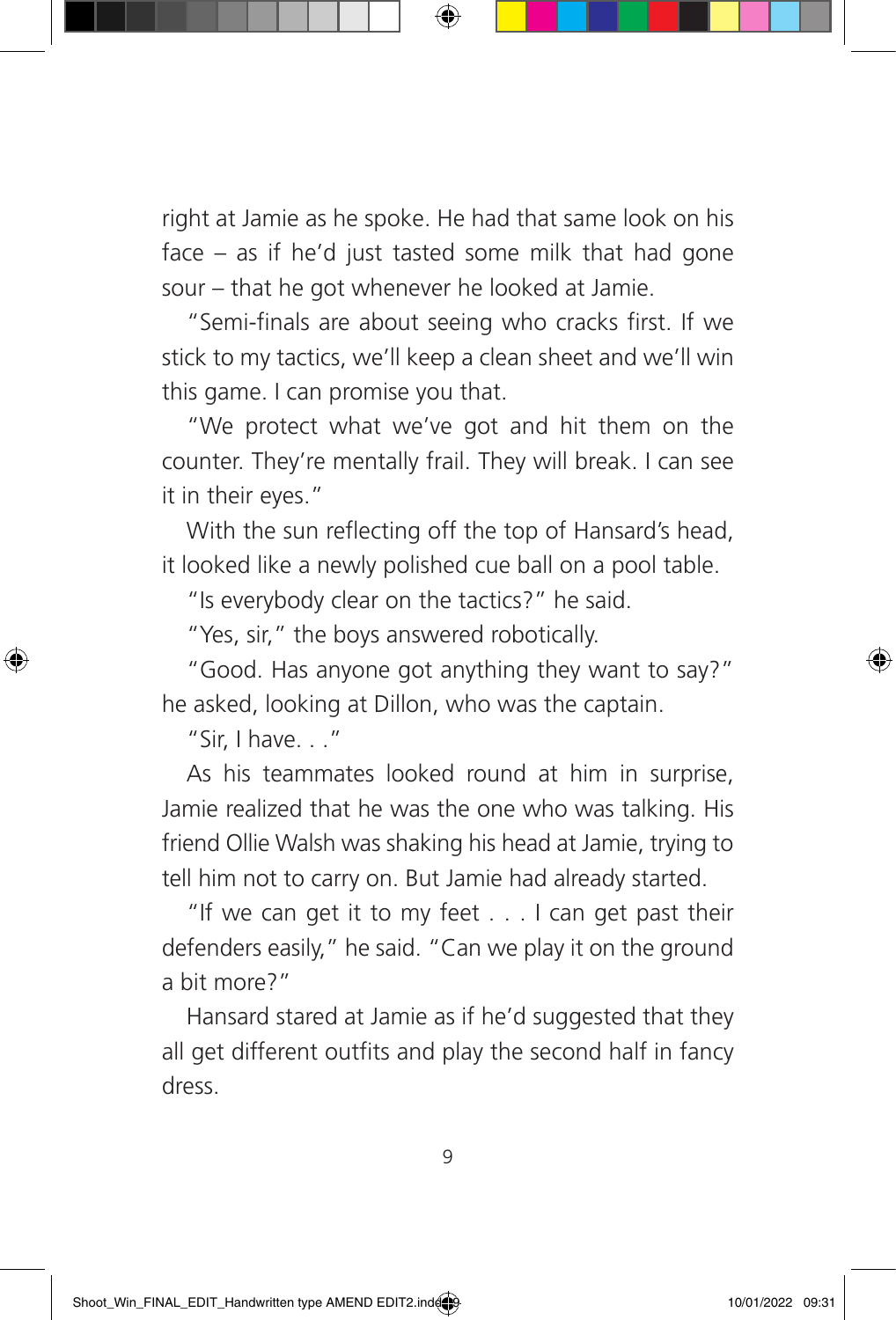right at Jamie as he spoke. He had that same look on his face – as if he'd just tasted some milk that had gone sour – that he got whenever he looked at Jamie.

"Semi-finals are about seeing who cracks first. If we stick to my tactics, we'll keep a clean sheet and we'll win this game. I can promise you that.

"We protect what we've got and hit them on the counter. They're mentally frail. They will break. I can see it in their eyes."

With the sun reflecting off the top of Hansard's head, it looked like a newly polished cue ball on a pool table.

"Is everybody clear on the tactics?" he said.

"Yes, sir," the boys answered robotically.

"Good. Has anyone got anything they want to say?" he asked, looking at Dillon, who was the captain.

"Sir, I have. . ."

◈

As his teammates looked round at him in surprise, Jamie realized that he was the one who was talking. His friend Ollie Walsh was shaking his head at Jamie, trying to tell him not to carry on. But Jamie had already started.

"If we can get it to my feet  $\dots$  I can get past their defenders easily," he said. "Can we play it on the ground a bit more?"

Hansard stared at Jamie as if he'd suggested that they all get different outfits and play the second half in fancy dress.